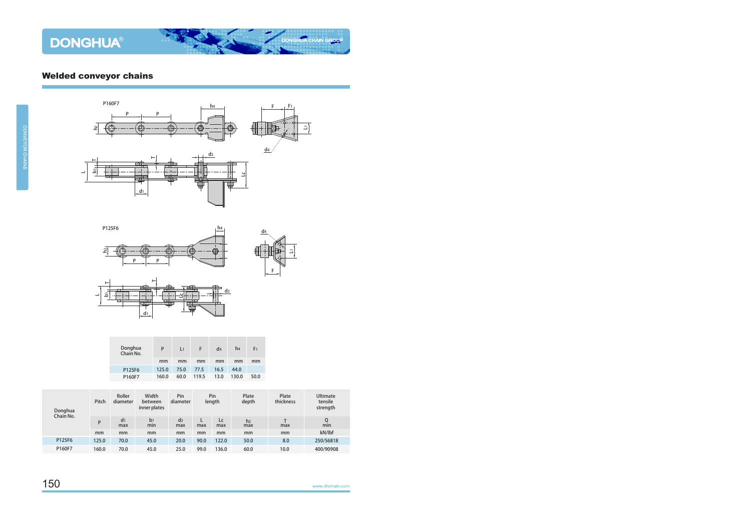## Welded conveyor chains









| Donghua<br>Chain No. | P     | L1   | E     | d4   | h <sub>4</sub> | F <sub>1</sub> |
|----------------------|-------|------|-------|------|----------------|----------------|
|                      | mm    | mm   | mm    | mm   | mm             | mm             |
| P125F6               | 125.0 | 75.0 | 77.5  | 16.5 | 44.0           |                |
| P160F7               | 160.0 | 60.0 | 119.5 | 13.0 | 130.0          | 50.0           |

| Donghua<br>Chain No. | Pitch | Roller<br>diameter    | Width<br>between<br>inner plates | Pin<br>diameter       | Pin<br>length |           | Plate<br>depth        | Plate<br>thickness | <b>Ultimate</b><br>tensile<br>strength |  |
|----------------------|-------|-----------------------|----------------------------------|-----------------------|---------------|-----------|-----------------------|--------------------|----------------------------------------|--|
|                      | P     | d <sub>1</sub><br>max | b <sub>1</sub><br>min            | d <sub>2</sub><br>max | max           | Lc<br>max | h <sub>2</sub><br>max | max                | Q<br>min                               |  |
|                      | mm    | mm                    | mm                               | mm                    | mm            | mm        | mm                    | mm                 | kN/lbf                                 |  |
| P125F6               | 125.0 | 70.0                  | 45.0                             | 20.0                  | 90.0          | 122.0     | 50.0                  | 8.0                | 250/56818                              |  |
| P160F7               | 160.0 | 70.0                  | 45.0                             | 25.0                  | 99.0          | 136.0     | 60.0                  | 10.0               | 400/90908                              |  |